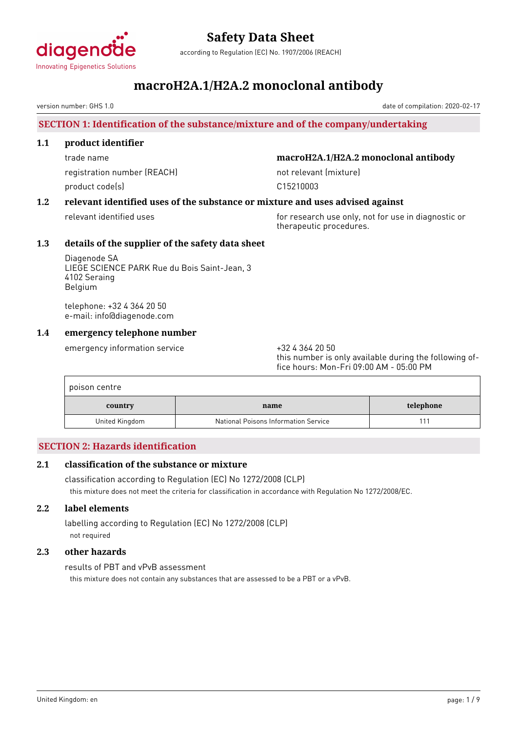

according to Regulation (EC) No. 1907/2006 (REACH)

### **macroH2A.1/H2A.2 monoclonal antibody**

version number: GHS 1.0

#### **SECTION 1: Identification of the substance/mixture and of the company/undertaking**

#### **1.1 product identifier**

registration number (REACH) not relevant (mixture) product code(s) and control control of the control control control control control control control control control control control control control control control control control control control control control control con

#### trade name **macroH2A.1/H2A.2 monoclonal antibody**

#### **1.2 relevant identified uses of the substance or mixture and uses advised against**

relevant identified uses for research use only, not for use in diagnostic or therapeutic procedures.

#### **1.3 details of the supplier of the safety data sheet**

Diagenode SA LIEGE SCIENCE PARK Rue du Bois Saint-Jean, 3 4102 Seraing Belgium

telephone: +32 4 364 20 50 e-mail: info@diagenode.com

#### **1.4 emergency telephone number**

emergency information service +32 4 364 20 50

this number is only available during the following office hours: Mon-Fri 09:00 AM - 05:00 PM

| poison centre  |                                      |           |  |  |
|----------------|--------------------------------------|-----------|--|--|
| country        | name                                 | telephone |  |  |
| United Kingdom | National Poisons Information Service |           |  |  |

#### **SECTION 2: Hazards identification**

#### **2.1 classification of the substance or mixture**

classification according to Regulation (EC) No 1272/2008 (CLP) this mixture does not meet the criteria for classification in accordance with Regulation No 1272/2008/EC.

#### **2.2 label elements**

labelling according to Regulation (EC) No 1272/2008 (CLP) not required

#### **2.3 other hazards**

results of PBT and vPvB assessment

this mixture does not contain any substances that are assessed to be a PBT or a vPvB.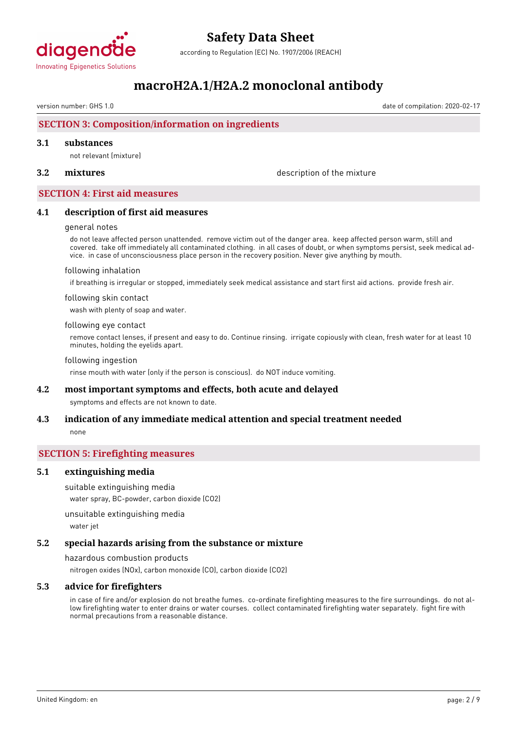

according to Regulation (EC) No. 1907/2006 (REACH)

### **macroH2A.1/H2A.2 monoclonal antibody**

version number: GHS 1.0 date of compilation: 2020-02-17

#### **SECTION 3: Composition/information on ingredients**

#### **3.1 substances**

not relevant (mixture)

**3.2 mixtures** description of the mixture

#### **SECTION 4: First aid measures**

#### **4.1 description of first aid measures**

#### general notes

do not leave affected person unattended. remove victim out of the danger area. keep affected person warm, still and covered. take off immediately all contaminated clothing. in all cases of doubt, or when symptoms persist, seek medical advice. in case of unconsciousness place person in the recovery position. Never give anything by mouth.

#### following inhalation

if breathing is irregular or stopped, immediately seek medical assistance and start first aid actions. provide fresh air.

#### following skin contact

wash with plenty of soap and water.

#### following eye contact

remove contact lenses, if present and easy to do. Continue rinsing. irrigate copiously with clean, fresh water for at least 10 minutes, holding the eyelids apart.

#### following ingestion

rinse mouth with water (only if the person is conscious). do NOT induce vomiting.

#### **4.2 most important symptoms and effects, both acute and delayed**

symptoms and effects are not known to date.

#### **4.3 indication of any immediate medical attention and special treatment needed** none

#### **SECTION 5: Firefighting measures**

#### **5.1 extinguishing media**

suitable extinguishing media

water spray, BC-powder, carbon dioxide (CO2)

unsuitable extinguishing media

water jet

#### **5.2 special hazards arising from the substance or mixture**

hazardous combustion products nitrogen oxides (NOx), carbon monoxide (CO), carbon dioxide (CO2)

#### **5.3 advice for firefighters**

in case of fire and/or explosion do not breathe fumes. co-ordinate firefighting measures to the fire surroundings. do not allow firefighting water to enter drains or water courses. collect contaminated firefighting water separately. fight fire with normal precautions from a reasonable distance.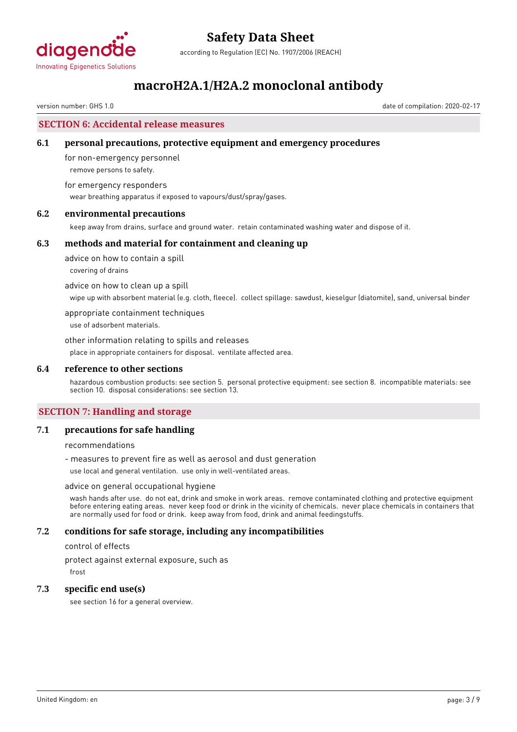

according to Regulation (EC) No. 1907/2006 (REACH)

### **macroH2A.1/H2A.2 monoclonal antibody**

version number: GHS 1.0 date of compilation: 2020-02-17

#### **SECTION 6: Accidental release measures**

#### **6.1 personal precautions, protective equipment and emergency procedures**

for non-emergency personnel remove persons to safety.

for emergency responders wear breathing apparatus if exposed to vapours/dust/spray/gases.

#### **6.2 environmental precautions**

keep away from drains, surface and ground water. retain contaminated washing water and dispose of it.

#### **6.3 methods and material for containment and cleaning up**

advice on how to contain a spill covering of drains

advice on how to clean up a spill

wipe up with absorbent material (e.g. cloth, fleece). collect spillage: sawdust, kieselgur (diatomite), sand, universal binder

appropriate containment techniques

use of adsorbent materials.

other information relating to spills and releases place in appropriate containers for disposal. ventilate affected area.

#### **6.4 reference to other sections**

hazardous combustion products: see section 5. personal protective equipment: see section 8. incompatible materials: see section 10. disposal considerations: see section 13.

#### **SECTION 7: Handling and storage**

#### **7.1 precautions for safe handling**

recommendations

- measures to prevent fire as well as aerosol and dust generation

use local and general ventilation. use only in well-ventilated areas.

#### advice on general occupational hygiene

wash hands after use. do not eat, drink and smoke in work areas. remove contaminated clothing and protective equipment before entering eating areas. never keep food or drink in the vicinity of chemicals. never place chemicals in containers that are normally used for food or drink. keep away from food, drink and animal feedingstuffs.

#### **7.2 conditions for safe storage, including any incompatibilities**

control of effects

protect against external exposure, such as

frost

#### **7.3 specific end use(s)**

see section 16 for a general overview.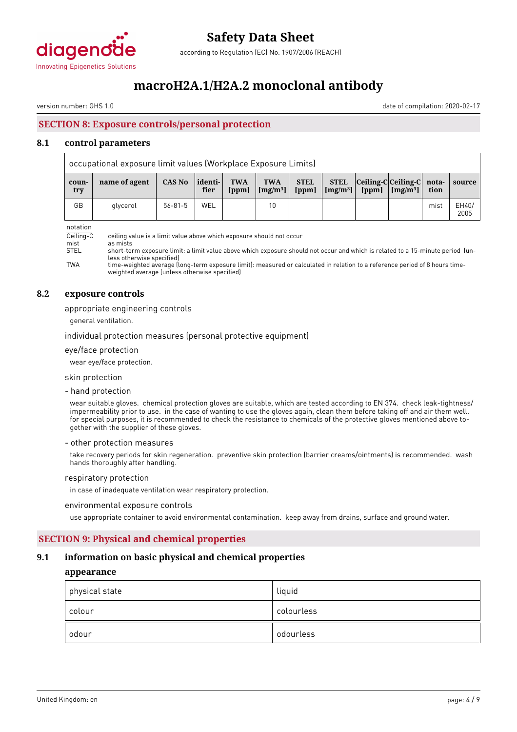

according to Regulation (EC) No. 1907/2006 (REACH)

### **macroH2A.1/H2A.2 monoclonal antibody**

version number: GHS 1.0 date of compilation: 2020-02-17

### **SECTION 8: Exposure controls/personal protection**

#### **8.1 control parameters**

|              | occupational exposure limit values (Workplace Exposure Limits) |               |                  |                     |                                    |                      |                 |  |                                                                     |      |               |
|--------------|----------------------------------------------------------------|---------------|------------------|---------------------|------------------------------------|----------------------|-----------------|--|---------------------------------------------------------------------|------|---------------|
| coun-<br>try | name of agent                                                  | CAS No        | identi- <br>fier | <b>TWA</b><br>[ppm] | <b>TWA</b><br>[mg/m <sup>3</sup> ] | <b>STEL</b><br>[ppm] | $[mg/m3]$ [ppm] |  | STEL Ceiling-C Ceiling-C nota-<br>$\lceil \text{Im} g / m^3 \rceil$ | tion | source        |
| GB           | glycerol                                                       | $56 - 81 - 5$ | WEL              |                     | 10                                 |                      |                 |  |                                                                     | mist | EH40/<br>2005 |

notation

| .           |                                                                                                                                |
|-------------|--------------------------------------------------------------------------------------------------------------------------------|
| Ceiling-C   | ceiling value is a limit value above which exposure should not occur                                                           |
| mist        | as mists                                                                                                                       |
| <b>STEL</b> | short-term exposure limit: a limit value above which exposure should not occur and which is related to a 15-minute period [un- |
|             | less otherwise specified)                                                                                                      |
| <b>TWA</b>  | time-weighted average (long-term exposure limit): measured or calculated in relation to a reference period of 8 hours time-    |
|             |                                                                                                                                |

period of 8 hours timeweighted average (unless otherwise specified)

#### **8.2 exposure controls**

#### appropriate engineering controls

general ventilation.

individual protection measures (personal protective equipment)

#### eye/face protection

wear eye/face protection.

#### skin protection

- hand protection

wear suitable gloves. chemical protection gloves are suitable, which are tested according to EN 374. check leak-tightness/ impermeability prior to use. in the case of wanting to use the gloves again, clean them before taking off and air them well. for special purposes, it is recommended to check the resistance to chemicals of the protective gloves mentioned above together with the supplier of these gloves.

#### - other protection measures

take recovery periods for skin regeneration. preventive skin protection (barrier creams/ointments) is recommended. wash hands thoroughly after handling.

#### respiratory protection

in case of inadequate ventilation wear respiratory protection.

#### environmental exposure controls

use appropriate container to avoid environmental contamination. keep away from drains, surface and ground water.

#### **SECTION 9: Physical and chemical properties**

#### **9.1 information on basic physical and chemical properties**

#### **appearance**

| physical state | liquid     |
|----------------|------------|
| colour         | colourless |
| odour          | odourless  |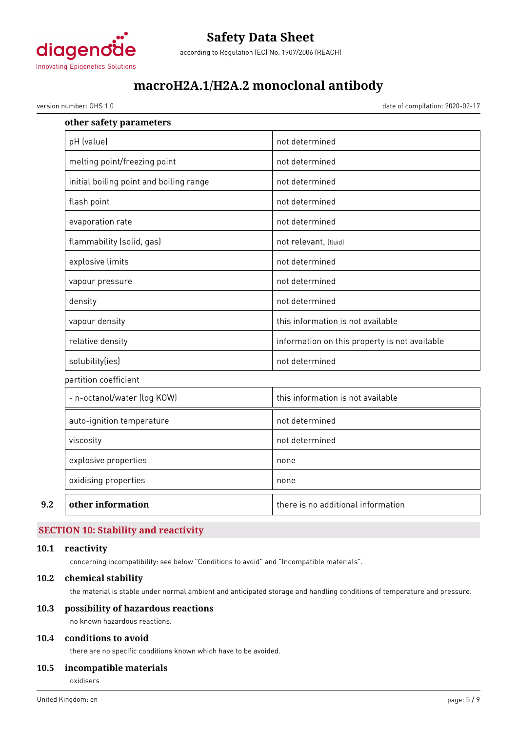

### **Safety Data Sheet** according to Regulation (EC) No. 1907/2006 (REACH)

**macroH2A.1/H2A.2 monoclonal antibody**

version number: GHS 1.0 date of compilation: 2020-02-17

| other safety parameters                 |                                               |
|-----------------------------------------|-----------------------------------------------|
| pH (value)                              | not determined                                |
| melting point/freezing point            | not determined                                |
| initial boiling point and boiling range | not determined                                |
| flash point                             | not determined                                |
| evaporation rate                        | not determined                                |
| flammability (solid, gas)               | not relevant, (fluid)                         |
| explosive limits                        | not determined                                |
| vapour pressure                         | not determined                                |
| density                                 | not determined                                |
| vapour density                          | this information is not available             |
| relative density                        | information on this property is not available |
| solubility(ies)                         | not determined                                |
| partition coefficient                   |                                               |
| - n-octanol/water (log KOW)             | this information is not available             |
| auto-ignition temperature               | not determined                                |
| viscosity                               | not determined                                |
| explosive properties                    | none                                          |
| oxidising properties                    | none                                          |
| other information                       | there is no additional information            |

### **SECTION 10: Stability and reactivity**

#### **10.1 reactivity**

concerning incompatibility: see below "Conditions to avoid" and "Incompatible materials".

#### **10.2 chemical stability**

the material is stable under normal ambient and anticipated storage and handling conditions of temperature and pressure.

#### **10.3 possibility of hazardous reactions**

no known hazardous reactions.

#### **10.4 conditions to avoid**

there are no specific conditions known which have to be avoided.

#### **10.5 incompatible materials**

oxidisers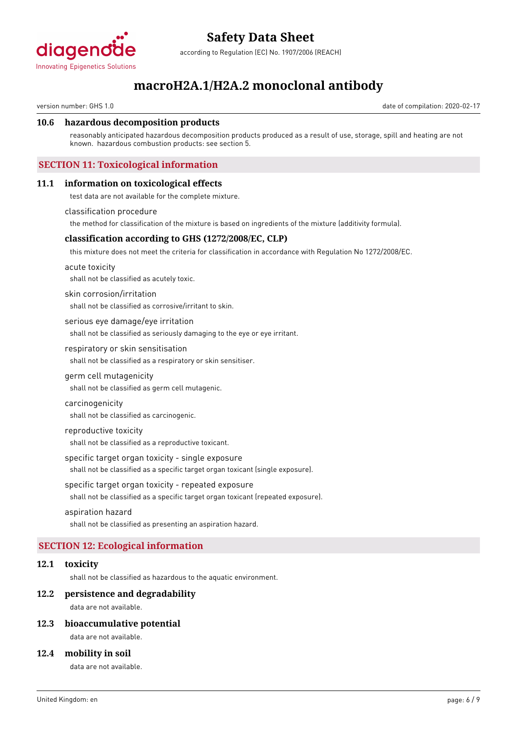

according to Regulation (EC) No. 1907/2006 (REACH)

### **macroH2A.1/H2A.2 monoclonal antibody**

version number: GHS 1.0 date of compilation: 2020-02-17

#### **10.6 hazardous decomposition products**

reasonably anticipated hazardous decomposition products produced as a result of use, storage, spill and heating are not known. hazardous combustion products: see section 5.

#### **SECTION 11: Toxicological information**

#### **11.1 information on toxicological effects**

test data are not available for the complete mixture.

#### classification procedure

the method for classification of the mixture is based on ingredients of the mixture (additivity formula).

#### **classification according to GHS (1272/2008/EC, CLP)**

this mixture does not meet the criteria for classification in accordance with Regulation No 1272/2008/EC.

#### acute toxicity

shall not be classified as acutely toxic.

#### skin corrosion/irritation

shall not be classified as corrosive/irritant to skin.

serious eye damage/eye irritation

shall not be classified as seriously damaging to the eye or eye irritant.

#### respiratory or skin sensitisation

shall not be classified as a respiratory or skin sensitiser.

germ cell mutagenicity

shall not be classified as germ cell mutagenic.

carcinogenicity shall not be classified as carcinogenic.

#### reproductive toxicity

shall not be classified as a reproductive toxicant.

specific target organ toxicity - single exposure

shall not be classified as a specific target organ toxicant (single exposure).

specific target organ toxicity - repeated exposure

shall not be classified as a specific target organ toxicant (repeated exposure).

#### aspiration hazard

shall not be classified as presenting an aspiration hazard.

#### **SECTION 12: Ecological information**

#### **12.1 toxicity**

shall not be classified as hazardous to the aquatic environment.

#### **12.2 persistence and degradability**

data are not available.

#### **12.3 bioaccumulative potential**

data are not available.

#### **12.4 mobility in soil**

data are not available.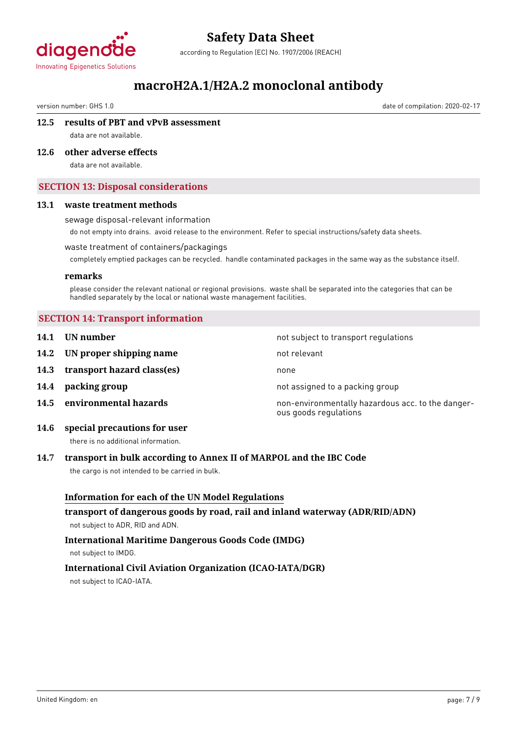

according to Regulation (EC) No. 1907/2006 (REACH)

### **macroH2A.1/H2A.2 monoclonal antibody**

version number: GHS 1.0 date of compilation: 2020-02-17

#### **12.5 results of PBT and vPvB assessment**

data are not available.

#### **12.6 other adverse effects**

data are not available.

#### **SECTION 13: Disposal considerations**

#### **13.1 waste treatment methods**

#### sewage disposal-relevant information

do not empty into drains. avoid release to the environment. Refer to special instructions/safety data sheets.

#### waste treatment of containers/packagings

completely emptied packages can be recycled. handle contaminated packages in the same way as the substance itself.

#### **remarks**

please consider the relevant national or regional provisions. waste shall be separated into the categories that can be handled separately by the local or national waste management facilities.

#### **SECTION 14: Transport information**

**14.1 UN number 14.1 UN** number **14.2 IN proper shipping name** not relevant **14.3 transport hazard class(es)** none **14.4 packing group 14.4 backing group** not assigned to a packing group **14.5 environmental hazards non-environmentally hazardous acc. to the danger**ous goods regulations

#### **14.6 special precautions for user**

there is no additional information.

#### **14.7 transport in bulk according to Annex II of MARPOL and the IBC Code**

the cargo is not intended to be carried in bulk.

### **Information for each of the UN Model Regulations transport of dangerous goods by road, rail and inland waterway (ADR/RID/ADN)** not subject to ADR, RID and ADN. **International Maritime Dangerous Goods Code (IMDG)**

not subject to IMDG.

#### **International Civil Aviation Organization (ICAO-IATA/DGR)**

not subject to ICAO-IATA.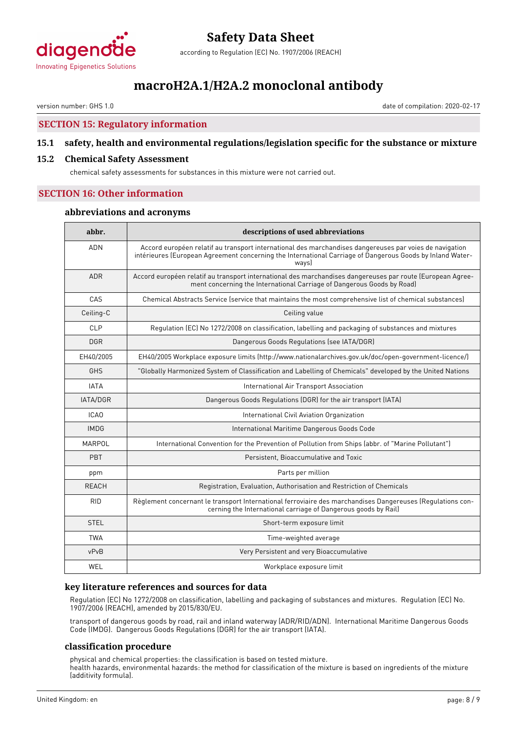

according to Regulation (EC) No. 1907/2006 (REACH)

### **macroH2A.1/H2A.2 monoclonal antibody**

version number: GHS 1.0 date of compilation: 2020-02-17

#### **SECTION 15: Regulatory information**

#### **15.1 safety, health and environmental regulations/legislation specific for the substance or mixture**

#### **15.2 Chemical Safety Assessment**

chemical safety assessments for substances in this mixture were not carried out.

#### **SECTION 16: Other information**

#### **abbreviations and acronyms**

| abbr.            | descriptions of used abbreviations                                                                                                                                                                                            |  |  |  |
|------------------|-------------------------------------------------------------------------------------------------------------------------------------------------------------------------------------------------------------------------------|--|--|--|
| <b>ADN</b>       | Accord européen relatif au transport international des marchandises dangereuses par voies de navigation<br>intérieures (European Agreement concerning the International Carriage of Dangerous Goods by Inland Water-<br>wavsl |  |  |  |
| <b>ADR</b>       | Accord européen relatif au transport international des marchandises dangereuses par route (European Agree-<br>ment concerning the International Carriage of Dangerous Goods by Road)                                          |  |  |  |
| CAS              | Chemical Abstracts Service (service that maintains the most comprehensive list of chemical substances)                                                                                                                        |  |  |  |
| Ceiling-C        | Ceiling value                                                                                                                                                                                                                 |  |  |  |
| CLP              | Regulation (EC) No 1272/2008 on classification, labelling and packaging of substances and mixtures                                                                                                                            |  |  |  |
| <b>DGR</b>       | Dangerous Goods Regulations (see IATA/DGR)                                                                                                                                                                                    |  |  |  |
| EH40/2005        | EH40/2005 Workplace exposure limits (http://www.nationalarchives.gov.uk/doc/open-government-licence/)                                                                                                                         |  |  |  |
| GHS              | "Globally Harmonized System of Classification and Labelling of Chemicals" developed by the United Nations                                                                                                                     |  |  |  |
| <b>IATA</b>      | International Air Transport Association                                                                                                                                                                                       |  |  |  |
| IATA/DGR         | Dangerous Goods Regulations (DGR) for the air transport (IATA)                                                                                                                                                                |  |  |  |
| ICA <sub>0</sub> | International Civil Aviation Organization                                                                                                                                                                                     |  |  |  |
| <b>IMDG</b>      | International Maritime Dangerous Goods Code                                                                                                                                                                                   |  |  |  |
| MARPOL           | International Convention for the Prevention of Pollution from Ships (abbr. of "Marine Pollutant")                                                                                                                             |  |  |  |
| PBT              | Persistent, Bioaccumulative and Toxic                                                                                                                                                                                         |  |  |  |
| ppm              | Parts per million                                                                                                                                                                                                             |  |  |  |
| REACH            | Registration, Evaluation, Authorisation and Restriction of Chemicals                                                                                                                                                          |  |  |  |
| <b>RID</b>       | Règlement concernant le transport International ferroviaire des marchandises Dangereuses (Regulations con-<br>cerning the International carriage of Dangerous goods by Rail)                                                  |  |  |  |
| <b>STEL</b>      | Short-term exposure limit                                                                                                                                                                                                     |  |  |  |
| <b>TWA</b>       | Time-weighted average                                                                                                                                                                                                         |  |  |  |
| vPvB             | Very Persistent and very Bioaccumulative                                                                                                                                                                                      |  |  |  |
| WEL              | Workplace exposure limit                                                                                                                                                                                                      |  |  |  |

#### **key literature references and sources for data**

Regulation (EC) No 1272/2008 on classification, labelling and packaging of substances and mixtures. Regulation (EC) No. 1907/2006 (REACH), amended by 2015/830/EU.

transport of dangerous goods by road, rail and inland waterway (ADR/RID/ADN). International Maritime Dangerous Goods Code (IMDG). Dangerous Goods Regulations (DGR) for the air transport (IATA).

#### **classification procedure**

physical and chemical properties: the classification is based on tested mixture. health hazards, environmental hazards: the method for classification of the mixture is based on ingredients of the mixture (additivity formula).